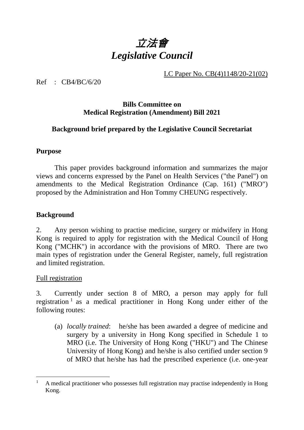

LC Paper No. CB(4)1148/20-21(02)

Ref : CB4/BC/6/20

#### **Bills Committee on Medical Registration (Amendment) Bill 2021**

### **Background brief prepared by the Legislative Council Secretariat**

#### **Purpose**

This paper provides background information and summarizes the major views and concerns expressed by the Panel on Health Services ("the Panel") on amendments to the Medical Registration Ordinance (Cap. 161) ("MRO") proposed by the Administration and Hon Tommy CHEUNG respectively.

## **Background**

2. Any person wishing to practise medicine, surgery or midwifery in Hong Kong is required to apply for registration with the Medical Council of Hong Kong ("MCHK") in accordance with the provisions of MRO. There are two main types of registration under the General Register, namely, full registration and limited registration.

Full registration

3. Currently under section 8 of MRO, a person may apply for full registration  $\frac{1}{1}$  $\frac{1}{1}$  $\frac{1}{1}$  as a medical practitioner in Hong Kong under either of the following routes:

(a) *locally trained*: he/she has been awarded a degree of medicine and surgery by a university in Hong Kong specified in Schedule 1 to MRO (i.e. The University of Hong Kong ("HKU") and The Chinese University of Hong Kong) and he/she is also certified under section 9 of MRO that he/she has had the prescribed experience (i.e. one-year

<span id="page-0-0"></span> <sup>1</sup> A medical practitioner who possesses full registration may practise independently in Hong Kong.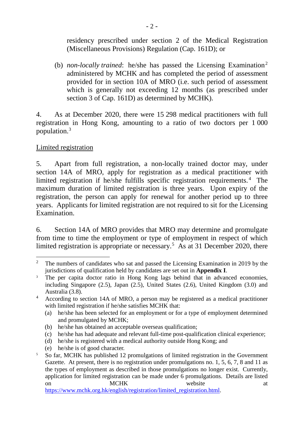residency prescribed under section 2 of the Medical Registration (Miscellaneous Provisions) Regulation (Cap. 161D); or

(b) *non-locally trained*: he/she has passed the Licensing Examination<sup>[2](#page-1-0)</sup> administered by MCHK and has completed the period of assessment provided for in section 10A of MRO (i.e. such period of assessment which is generally not exceeding 12 months (as prescribed under section 3 of Cap. 161D) as determined by MCHK).

4. As at December 2020, there were 15 298 medical practitioners with full registration in Hong Kong, amounting to a ratio of two doctors per 1 000 population. [3](#page-1-1)

### Limited registration

5. Apart from full registration, a non-locally trained doctor may, under section 14A of MRO, apply for registration as a medical practitioner with limited registration if he/she fulfills specific registration requirements. [4](#page-1-2) The maximum duration of limited registration is three years. Upon expiry of the registration, the person can apply for renewal for another period up to three years. Applicants for limited registration are not required to sit for the Licensing Examination.

6. Section 14A of MRO provides that MRO may determine and promulgate from time to time the employment or type of employment in respect of which limited registration is appropriate or necessary.<sup>[5](#page-1-3)</sup> As at 31 December 2020, there

- (b) he/she has obtained an acceptable overseas qualification;
- (c) he/she has had adequate and relevant full-time post-qualification clinical experience;

(e) he/she is of good character.

[https://www.mchk.org.hk/english/registration/limited\\_registration.html.](https://www.mchk.org.hk/english/registration/limited_registration.html)

<span id="page-1-0"></span><sup>&</sup>lt;sup>2</sup> The numbers of candidates who sat and passed the Licensing Examination in 2019 by the jurisdictions of qualification held by candidates are set out in **Appendix I**.

<span id="page-1-1"></span><sup>&</sup>lt;sup>3</sup> The per capita doctor ratio in Hong Kong lags behind that in advanced economies, including Singapore (2.5), Japan (2.5), United States (2.6), United Kingdom (3.0) and Australia (3.8).

<span id="page-1-2"></span><sup>4</sup> According to section 14A of MRO, a person may be registered as a medical practitioner with limited registration if he/she satisfies MCHK that:

<sup>(</sup>a) he/she has been selected for an employment or for a type of employment determined and promulgated by MCHK;

<sup>(</sup>d) he/she is registered with a medical authority outside Hong Kong; and

<span id="page-1-3"></span><sup>&</sup>lt;sup>5</sup> So far, MCHK has published 12 promulgations of limited registration in the Government Gazette. At present, there is no registration under promulgations no. 1, 5, 6, 7, 8 and 11 as the types of employment as described in those promulgations no longer exist. Currently, application for limited registration can be made under 6 promulgations. Details are listed on MCHK website at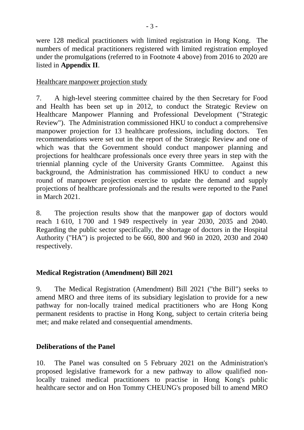were 128 medical practitioners with limited registration in Hong Kong. The numbers of medical practitioners registered with limited registration employed under the promulgations (referred to in Footnote 4 above) from 2016 to 2020 are listed in **Appendix II**.

Healthcare manpower projection study

7. A high-level steering committee chaired by the then Secretary for Food and Health has been set up in 2012, to conduct the Strategic Review on Healthcare Manpower Planning and Professional Development ("Strategic Review"). The Administration commissioned HKU to conduct a comprehensive manpower projection for 13 healthcare professions, including doctors. Ten recommendations were set out in the report of the Strategic Review and one of which was that the Government should conduct manpower planning and projections for healthcare professionals once every three years in step with the triennial planning cycle of the University Grants Committee. Against this background, the Administration has commissioned HKU to conduct a new round of manpower projection exercise to update the demand and supply projections of healthcare professionals and the results were reported to the Panel in March 2021.

8. The projection results show that the manpower gap of doctors would reach 1 610, 1 700 and 1 949 respectively in year 2030, 2035 and 2040. Regarding the public sector specifically, the shortage of doctors in the Hospital Authority ("HA") is projected to be 660, 800 and 960 in 2020, 2030 and 2040 respectively.

# **Medical Registration (Amendment) Bill 2021**

9. The Medical Registration (Amendment) Bill 2021 ("the Bill") seeks to amend MRO and three items of its subsidiary legislation to provide for a new pathway for non-locally trained medical practitioners who are Hong Kong permanent residents to practise in Hong Kong, subject to certain criteria being met; and make related and consequential amendments.

# **Deliberations of the Panel**

10. The Panel was consulted on 5 February 2021 on the Administration's proposed legislative framework for a new pathway to allow qualified nonlocally trained medical practitioners to practise in Hong Kong's public healthcare sector and on Hon Tommy CHEUNG's proposed bill to amend MRO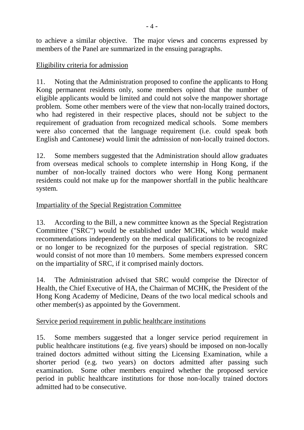to achieve a similar objective. The major views and concerns expressed by members of the Panel are summarized in the ensuing paragraphs.

## Eligibility criteria for admission

11. Noting that the Administration proposed to confine the applicants to Hong Kong permanent residents only, some members opined that the number of eligible applicants would be limited and could not solve the manpower shortage problem. Some other members were of the view that non-locally trained doctors, who had registered in their respective places, should not be subject to the requirement of graduation from recognized medical schools. Some members were also concerned that the language requirement (i.e. could speak both English and Cantonese) would limit the admission of non-locally trained doctors.

12. Some members suggested that the Administration should allow graduates from overseas medical schools to complete internship in Hong Kong, if the number of non-locally trained doctors who were Hong Kong permanent residents could not make up for the manpower shortfall in the public healthcare system.

## Impartiality of the Special Registration Committee

13. According to the Bill, a new committee known as the Special Registration Committee ("SRC") would be established under MCHK, which would make recommendations independently on the medical qualifications to be recognized or no longer to be recognized for the purposes of special registration. SRC would consist of not more than 10 members. Some members expressed concern on the impartiality of SRC, if it comprised mainly doctors.

14. The Administration advised that SRC would comprise the Director of Health, the Chief Executive of HA, the Chairman of MCHK, the President of the Hong Kong Academy of Medicine, Deans of the two local medical schools and other member(s) as appointed by the Government.

#### Service period requirement in public healthcare institutions

15. Some members suggested that a longer service period requirement in public healthcare institutions (e.g. five years) should be imposed on non-locally trained doctors admitted without sitting the Licensing Examination, while a shorter period (e.g. two years) on doctors admitted after passing such examination. Some other members enquired whether the proposed service period in public healthcare institutions for those non-locally trained doctors admitted had to be consecutive.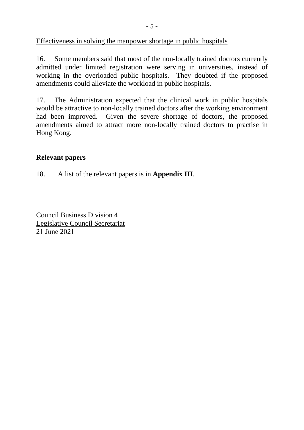Effectiveness in solving the manpower shortage in public hospitals

16. Some members said that most of the non-locally trained doctors currently admitted under limited registration were serving in universities, instead of working in the overloaded public hospitals. They doubted if the proposed amendments could alleviate the workload in public hospitals.

17. The Administration expected that the clinical work in public hospitals would be attractive to non-locally trained doctors after the working environment had been improved. Given the severe shortage of doctors, the proposed amendments aimed to attract more non-locally trained doctors to practise in Hong Kong.

### **Relevant papers**

18. A list of the relevant papers is in **Appendix III**.

Council Business Division 4 Legislative Council Secretariat 21 June 2021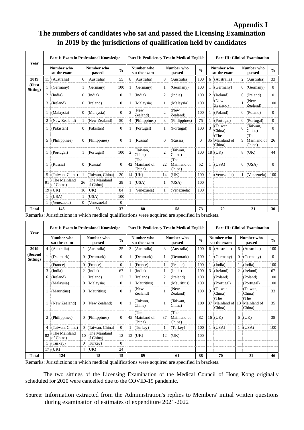# **Appendix I The numbers of candidates who sat and passed the Licensing Examination in 2019 by the jurisdictions of qualification held by candidates**

| Year               | Part I: Exam in Professional Knowledge |                            |                      |                            |                  | Part II: Proficiency Test in Medical English |                                  |                      |                               |               | <b>Part III: Clinical Examination</b> |                               |                      |                               |                |
|--------------------|----------------------------------------|----------------------------|----------------------|----------------------------|------------------|----------------------------------------------|----------------------------------|----------------------|-------------------------------|---------------|---------------------------------------|-------------------------------|----------------------|-------------------------------|----------------|
|                    | Number who<br>sat the exam             |                            | Number who<br>passed |                            | $\frac{0}{0}$    | Number who<br>sat the exam                   |                                  | Number who<br>passed |                               | $\frac{0}{0}$ | Number who<br>sat the exam            |                               | Number who<br>passed |                               | $\frac{0}{0}$  |
| 2019               |                                        | 11 (Australia)             | 6                    | (Australia)                | 55               | 8                                            | (Australia)                      | 8                    | (Australia)                   | 100           | 6                                     | (Australia)                   | $\overline{2}$       | (Australia)                   | 33             |
| (First<br>Sitting) |                                        | 1 (Germany)                |                      | (Germany)                  | 100              | 1                                            | (Germany)                        | 1                    | (Germany)                     | 100           | 1                                     | (Germany)                     | $\overline{0}$       | (Germany)                     | $\Omega$       |
|                    | 2                                      | (India)                    | $\overline{0}$       | (India)                    | $\overline{0}$   | $\overline{2}$                               | (India)                          | 2                    | (India)                       | 100           | 2                                     | (Ireland)                     | $\overline{0}$       | (Ireland)                     | $\overline{0}$ |
|                    | 3                                      | (Ireland)                  | $\Omega$             | (Ireland)                  | $\mathbf{0}$     |                                              | (Malaysia)                       | 1                    | (Malaysia)                    | 100           |                                       | (New<br>Zealand)              |                      | (New<br>Zealand)              | 100            |
|                    |                                        | (Malaysia)                 | 0                    | (Malaysia)                 | $\boldsymbol{0}$ | $\mathfrak{D}$                               | (New<br>Zealand)                 | $\overline{c}$       | (New<br>Zealand)              | 100           |                                       | (Poland)                      | 0                    | (Poland)                      | $\Omega$       |
|                    |                                        | (New Zealand)              |                      | (New Zealand)              | 50               | $\overline{4}$                               | (Philippines)                    | 3                    | (Philippines)                 | 75            |                                       | (Portugal)                    | $\Omega$             | (Portugal)                    | $\overline{0}$ |
|                    |                                        | (Pakistan)                 | $\Omega$             | (Pakistan)                 | $\mathbf{0}$     | 1                                            | (Portugal)                       | 1                    | (Portugal)                    | 100           |                                       | (Taiwan,<br>China)            | $\Omega$             | (Taiwan,<br>China)            | $\theta$       |
|                    | 5                                      | (Philippines)              | $^{O}$               | (Philippines)              | $\mathbf{0}$     |                                              | (Russia)                         | 0                    | (Russia)                      | $\Omega$      | 35                                    | (The<br>Mainland of<br>China) | 9                    | (The<br>Mainland of<br>China) | 26             |
|                    |                                        | (Portugal)                 | 1.                   | (Portugal)                 | 100              | $\mathfrak{D}$                               | (Taiwan,<br>China)               | $\overline{c}$       | (Taiwan,<br>China)            | 100           |                                       | $18$ (UK)                     | 8                    | (UK)                          | 44             |
|                    |                                        | (Russia)                   | $\overline{0}$       | (Russia)                   | $\Omega$         |                                              | (The<br>42 Mainland of<br>China) | 22                   | (The<br>Mainland of<br>China) | 52            |                                       | (USA)                         | $\overline{0}$       | (USA)                         | $\Omega$       |
|                    | 5                                      | (Taiwan, China)            | 1                    | (Taiwan, China)            | 20               |                                              | 14 (UK)                          | 14                   | (UK)                          | 100           |                                       | (Venezuela)                   | 1                    | (Venezuela)                   | 100            |
|                    | 91                                     | (The Mainland<br>of China) | 26                   | (The Mainland<br>of China) | 29               | 1                                            | (USA)                            | 1                    | (USA)                         | 100           |                                       |                               |                      |                               |                |
|                    |                                        | 19 (UK)                    |                      | $16$ (UK)                  | 84               |                                              | (Venezuela)                      | 1                    | (Venezuela)                   | 100           |                                       |                               |                      |                               |                |
|                    | 1                                      | (USA)                      | $\mathbf{1}$         | (USA)                      | 100              |                                              |                                  |                      |                               |               |                                       |                               |                      |                               |                |
|                    |                                        | 1 (Venezuela)              |                      | $0$ (Venezuela)            | $\mathbf{0}$     |                                              |                                  |                      |                               |               |                                       |                               |                      |                               |                |
| Total              | 145<br>2.14333333344                   |                            |                      | 53<br>1.1.1<br>11111       | 37<br>1.0        | 80                                           |                                  | 58<br>$\mathbf{1}$   |                               | 73            | $1 - i$                               | 70                            |                      | 21                            | 30             |

Remarks: Jurisdictions in which medical qualifications were acquired are specified in brackets.

| Year                | Part I: Exam in Professional Knowledge |                            |   |                            | Part II: Proficiency Test in Medical English |                            |                               |                      |                               | <b>Part III: Clinical Examination</b> |                            |                                  |                      |                               |               |
|---------------------|----------------------------------------|----------------------------|---|----------------------------|----------------------------------------------|----------------------------|-------------------------------|----------------------|-------------------------------|---------------------------------------|----------------------------|----------------------------------|----------------------|-------------------------------|---------------|
|                     |                                        | Number who<br>sat the exam |   | Number who<br>passed       |                                              | Number who<br>sat the exam |                               | Number who<br>passed |                               | $\frac{0}{0}$                         | Number who<br>sat the exam |                                  | Number who<br>passed |                               | $\frac{0}{0}$ |
| 2019                | 4                                      | (Australia)                |   | 1 (Australia)              | 25                                           | 3                          | (Australia)                   | 3                    | (Australia)                   | 100                                   |                            | 6 (Australia)                    |                      | 6 (Australia)                 | 100           |
| (Second<br>Sitting) |                                        | (Denmark)                  |   | $0$ (Denmark)              | $\mathbf{0}$                                 |                            | (Denmark)                     |                      | (Denmark)                     | 100                                   |                            | (Germany)                        | 0                    | (Germany)                     | $\Omega$      |
|                     |                                        | (France)                   | 0 | (France)                   | $\Omega$                                     |                            | (France)                      |                      | (France)                      | 100                                   |                            | (India)                          |                      | (India)                       | 100           |
|                     | 3                                      | (India)                    |   | $2 \text{ (India)}$        | 67                                           |                            | (India)                       |                      | (India)                       | 100                                   | 3                          | (Ireland)                        | 2                    | (Ireland)                     | 67            |
|                     | 6                                      | (Ireland)                  |   | (Ireland)                  | 17                                           | 2                          | (Ireland)                     | 2                    | (Ireland)                     | 100                                   |                            | (Poland)                         |                      | (Poland)                      | 100           |
|                     |                                        | (Malaysia)                 |   | $0 \t(Malaysia)$           | $\theta$                                     |                            | (Mauritius)                   |                      | (Mauritius)                   | 100                                   |                            | (Portugal)                       |                      | (Portugal)                    | 100           |
|                     |                                        | (Mauritius)                |   | $0$ (Mauritius)            | $\Omega$                                     |                            | (New<br>Zealand)              |                      | (New<br>Zealand)              | 100                                   | $\mathbf{3}$               | (Taiwan,<br>China)               |                      | (Taiwan.<br>China)            | 33            |
|                     |                                        | (New Zealand)              |   | $0 \times Z$ ealand)       | $\Omega$                                     |                            | (Taiwan,<br>China)            |                      | (Taiwan.<br>China)            | 100                                   | l 37                       | (The<br>Mainland of 13<br>China) |                      | (The<br>Mainland of<br>China) | 35            |
|                     | 2                                      | (Philippines)              | 0 | (Philippines)              | $\Omega$                                     | 45                         | (The<br>Mainland of<br>China) | 37                   | (The<br>Mainland of<br>China) | 82                                    |                            | 16 (UK)                          |                      | $6$ (UK)                      | 38            |
|                     | 4                                      | (Taiwan, China)            | 0 | (Taiwan, China)            | $\theta$                                     |                            | (Turkey)                      |                      | (Turkey)                      | 100                                   |                            | (USA)                            |                      | $1$ (USA)                     | 100           |
|                     | 82                                     | (The Mainland<br>of China) |   | (The Mainland<br>of China) | 12                                           |                            | 12 (UK)                       | 12                   | (UK)                          | 100                                   |                            |                                  |                      |                               |               |
|                     |                                        | (Turkey)                   | 0 | (Turkey)                   | $\Omega$                                     |                            |                               |                      |                               |                                       |                            |                                  |                      |                               |               |
|                     |                                        | 17 (UK)                    |   | $4$ (UK)                   | 24                                           |                            |                               |                      |                               |                                       |                            |                                  |                      |                               |               |
| Total               | 124                                    |                            |   | 18                         | 15                                           | 69                         |                               | 61                   |                               | 88                                    |                            | 70                               |                      | 32                            | 46            |

Remarks: Jurisdictions in which medical qualifications were acquired are specified in brackets.

The two sittings of the Licensing Examination of the Medical Council of Hong Kong originally scheduled for 2020 were cancelled due to the COVID-19 pandemic.

Source: Information extracted from the Administration's replies to Members' initial written questions during examination of estimates of expenditure 2021-2022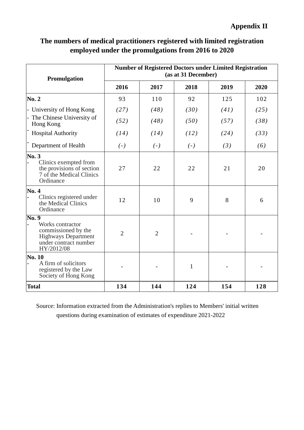# **Appendix II**

| The numbers of medical practitioners registered with limited registration |
|---------------------------------------------------------------------------|
| employed under the promulgations from 2016 to 2020                        |

| Promulgation                                                                                                                             | <b>Number of Registered Doctors under Limited Registration</b><br>(as at 31 December) |                |              |      |      |  |  |  |  |
|------------------------------------------------------------------------------------------------------------------------------------------|---------------------------------------------------------------------------------------|----------------|--------------|------|------|--|--|--|--|
|                                                                                                                                          | 2016                                                                                  | 2017           | 2018         | 2019 | 2020 |  |  |  |  |
| <b>No. 2</b>                                                                                                                             | 93                                                                                    | 110            | 92           | 125  | 102  |  |  |  |  |
| - University of Hong Kong                                                                                                                | (27)                                                                                  | (48)           | (30)         | (41) | (25) |  |  |  |  |
| - The Chinese University of<br>Hong Kong                                                                                                 | (52)                                                                                  | (48)           | (50)         | (57) | (38) |  |  |  |  |
| <b>Hospital Authority</b>                                                                                                                | (14)                                                                                  | (14)           | (12)         | (24) | (33) |  |  |  |  |
| Department of Health                                                                                                                     | $(-)$                                                                                 | $(-)$          | $(-)$        | (3)  | (6)  |  |  |  |  |
| No.3<br>Clinics exempted from<br>the provisions of section<br>7 of the Medical Clinics<br>Ordinance                                      | 27                                                                                    | 22             | 22           | 21   | 20   |  |  |  |  |
| No. 4<br>Clinics registered under<br>the Medical Clinics<br>Ordinance                                                                    | 12                                                                                    | 10             | 9            | 8    | 6    |  |  |  |  |
| $\overline{{\rm No. 9}}$<br>Works contractor<br>commissioned by the<br><b>Highways Department</b><br>under contract number<br>HY/2012/08 | $\overline{2}$                                                                        | $\overline{2}$ |              |      |      |  |  |  |  |
| <b>No. 10</b><br>A firm of solicitors<br>registered by the Law<br>Society of Hong Kong                                                   |                                                                                       |                | $\mathbf{1}$ |      |      |  |  |  |  |
| <b>Total</b>                                                                                                                             | 134                                                                                   | 144            | 124          | 154  | 128  |  |  |  |  |

Source: Information extracted from the Administration's replies to Members' initial written questions during examination of estimates of expenditure 2021-2022